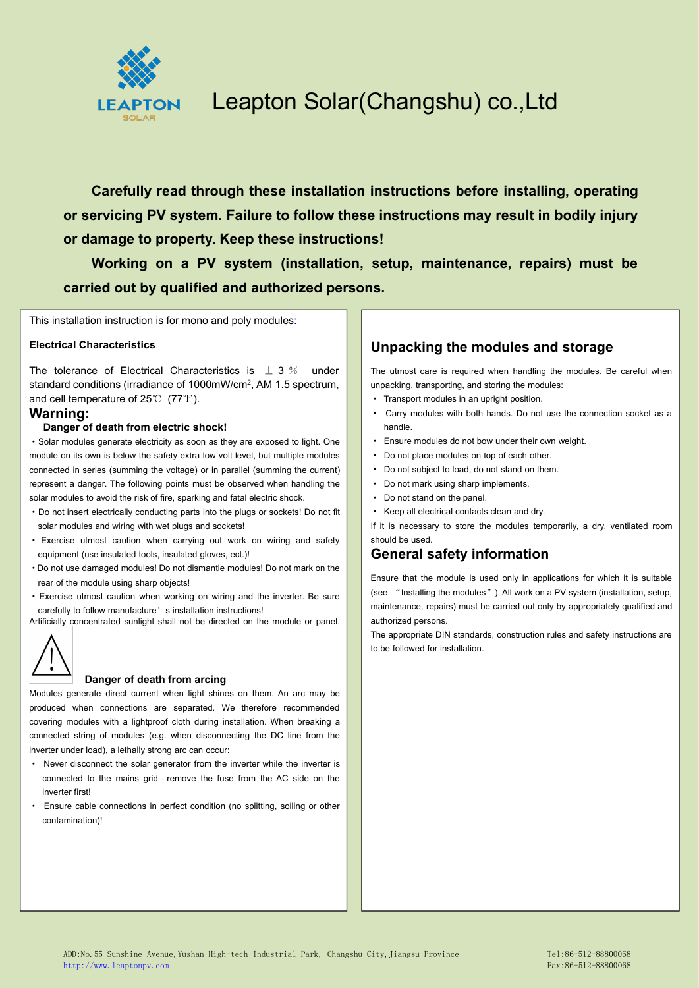

**Carefully read through these installation instructions before installing, operating or servicing PV system. Failure to follow these instructions may result in bodily injury or damage to property. Keep these instructions!**

**Working on a PV system (installation, setup, maintenance, repairs) must be carried out by qualified and authorized persons.**

This installation instruction is for mono and poly modules:

#### **Electrical Characteristics**

The tolerance of Electrical Characteristics is  $\pm$  3 % under standard conditions (irradiance of 1000mW/cm<sup>2</sup>, AM 1.5 spectrum, sanpacking, transp and cell temperature of 25℃ (77℉).

#### **Warning:**

#### **Danger of death from electric shock!**

·Solar modules generate electricity as soon as they are exposed to light. One module on its own is below the safety extra low volt level, but multiple modules connected in series (summing the voltage) or in parallel (summing the current) represent a danger. The following points must be observed when handling the solar modules to avoid the risk of fire, sparking and fatal electric shock.

- ·Do not insert electrically conducting parts into the plugs or sockets! Do not fit solar modules and wiring with wet plugs and sockets!
- · Exercise utmost caution when carrying out work on wiring and safety equipment (use insulated tools, insulated gloves, ect.)!
- ·Do not use damaged modules! Do not dismantle modules! Do not mark on the rear of the module using sharp objects!
- ·Exercise utmost caution when working on wiring and the inverter. Be sure carefully to follow manufacture's installation instructions!

Artificially concentrated sunlight shall not be directed on the module or panel.



#### **Danger of death from arcing**

Modules generate direct current when light shines on them. An arc may be produced when connections are separated. We therefore recommended covering modules with a lightproof cloth during installation. When breaking a connected string of modules (e.g. when disconnecting the DC line from the inverter under load), a lethally strong arc can occur:

- · Never disconnect the solar generator from the inverter while the inverter is connected to the mains grid—remove the fuse from the AC side on the inverter first!
- · Ensure cable connections in perfect condition (no splitting, soiling or other contamination)!

#### **Unpacking the modules and storage**

The utmost care is required when handling the modules. Be careful when unpacking, transporting, and storing the modules:

- · Transport modules in an upright position.
- · Carry modules with both hands. Do not use the connection socket as a handle.
- · Ensure modules do not bow under their own weight.
- Do not place modules on top of each other.
- · Do not subject to load, do not stand on them.
- · Do not mark using sharp implements.
- · Do not stand on the panel.
- · Keep all electrical contacts clean and dry.

If it is necessary to store the modules temporarily, a dry, ventilated room should be used.

#### **General safety information**

Ensure that the module is used only in applications for which it is suitable (see "Installing the modules"). All work on a PV system (installation, setup, maintenance, repairs) must be carried out only by appropriately qualified and authorized persons.

The appropriate DIN standards, construction rules and safety instructions are to be followed for installation.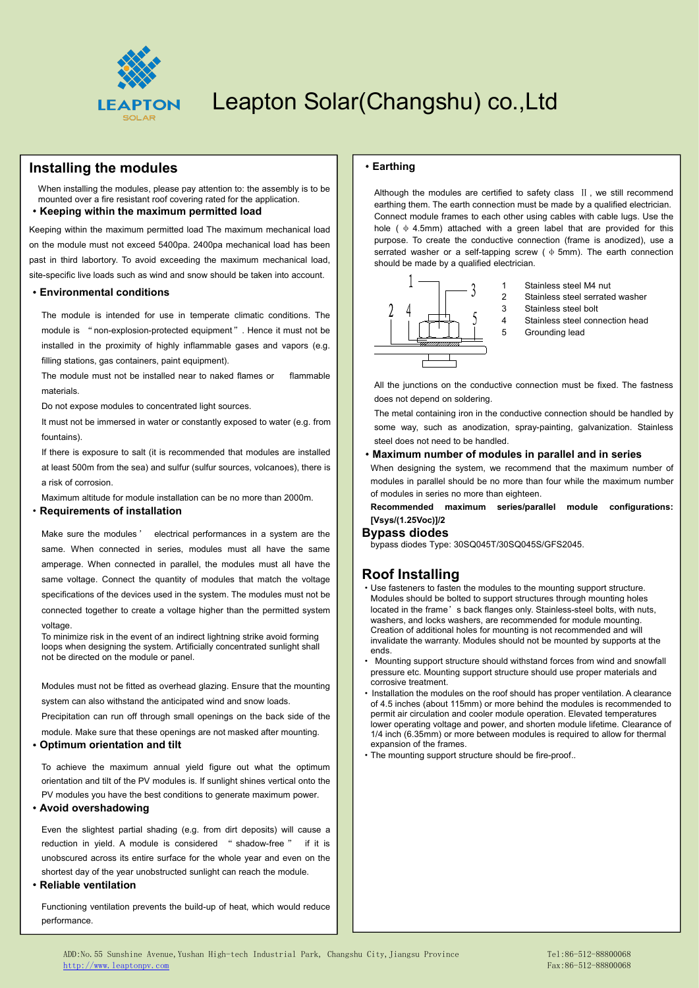

#### **Installing the modules**

When installing the modules, please pay attention to: the assembly is to be mounted over a fire resistant roof covering rated for the application.

#### ·**Keeping within the maximum permitted load**

Keeping within the maximum permitted load The maximum mechanical load on the module must not exceed 5400pa. 2400pa mechanical load has been past in third labortory. To avoid exceeding the maximum mechanical load, site-specific live loads such as wind and snow should be taken into account.

#### ·**Environmental conditions**

The module is intended for use in temperate climatic conditions. The module is "non-explosion-protected equipment". Hence it must not be installed in the proximity of highly inflammable gases and vapors (e.g. filling stations, gas containers, paint equipment).

The module must not be installed near to naked flames or flammable materials.

Do not expose modules to concentrated light sources.

It must not be immersed in water or constantly exposed to water (e.g. from fountains).

If there is exposure to salt (it is recommended that modules are installed at least 500m from the sea) and sulfur (sulfur sources, volcanoes), there is a risk of corrosion.

Maximum altitude for module installation can be no more than 2000m.

#### ·**Requirements of installation**

Make sure the modules ' electrical performances in a system are the same. When connected in series, modules must all have the same amperage. When connected in parallel, the modules must all have the same voltage. Connect the quantity of modules that match the voltage specifications of the devices used in the system. The modules must not be connected together to create a voltage higher than the permitted system voltage

To minimize risk in the event of an indirect lightning strike avoid forming loops when designing the system. Artificially concentrated sunlight shall not be directed on the module or panel.

Modules must not be fitted as overhead glazing. Ensure that the mounting system can also withstand the anticipated wind and snow loads. Precipitation can run off through small openings on the back side of the

module. Make sure that these openings are not masked after mounting.

#### ·**Optimum orientation and tilt**

To achieve the maximum annual yield figure out what the optimum orientation and tilt of the PV modules is. If sunlight shines vertical onto the PV modules you have the best conditions to generate maximum power.

#### ·**Avoid overshadowing**

Even the slightest partial shading (e.g. from dirt deposits) will cause a reduction in yield. A module is considered " shadow-free " if it is unobscured across its entire surface for the whole year and even on the shortest day of the year unobstructed sunlight can reach the module.

#### ·**Reliable ventilation**

Functioning ventilation prevents the build-up of heat, which would reduce performance.

#### ·**Earthing**

Although the modules are certified to safety class II, we still recommend earthing them. The earth connection must be made by a qualified electrician. Connect module frames to each other using cables with cable lugs. Use the hole ( $\phi$  4.5mm) attached with a green label that are provided for this purpose. To create the conductive connection (frame is anodized), use a serrated washer or a self-tapping screw ( $\phi$  5mm). The earth connection should be made by a qualified electrician.



- 1 Stainless steel M4 nut
- 2 Stainless steel serrated washer
- 3 Stainless steel bolt
- 4 Stainless steel connection head
- 5 Grounding lead

All the junctions on the conductive connection must be fixed. The fastness does not depend on soldering.

The metal containing iron in the conductive connection should be handled by some way, such as anodization, spray-painting, galvanization. Stainless steel does not need to be handled.

#### ·**Maximum number of modules in parallel and in series**

When designing the system, we recommend that the maximum number of modules in parallel should be no more than four while the maximum number of modules in series no more than eighteen.

**Recommended maximum series/parallel module configurations: [Vsys/(1.25Voc)]/2**

#### **Bypass diodes**

bypass diodes Type: 30SQ045T/30SQ045S/GFS2045.

#### **Roof Installing**

- ·Use fasteners to fasten the modules to the mounting support structure. Modules should be bolted to support structures through mounting holes located in the frame's back flanges only. Stainless-steel bolts, with nuts, washers, and locks washers, are recommended for module mounting. Creation of additional holes for mounting is not recommended and will invalidate the warranty. Modules should not be mounted by supports at the ends.
- · Mounting support structure should withstand forces from wind and snowfall pressure etc. Mounting support structure should use proper materials and corrosive treatment.
- Installation the modules on the roof should has proper ventilation. A clearance of 4.5 inches (about 115mm) or more behind the modules is recommended to permit air circulation and cooler module operation. Elevated temperatures lower operating voltage and power, and shorten module lifetime. Clearance of 1/4 inch (6.35mm) or more between modules is required to allow for thermal expansion of the frames.
- ·The mounting support structure should be fire-proof..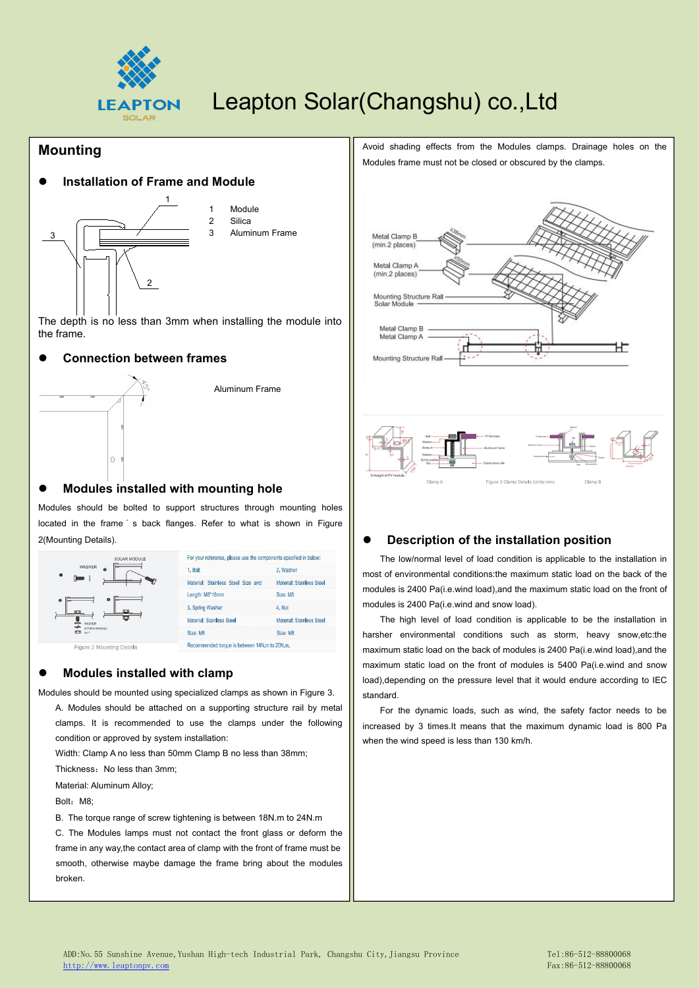

#### **Mounting**

#### **Installation of Frame and Module**



1 Module 2 Silica 3 Aluminum Frame **No. 1988** Metal Clamp B

The depth is no less than 3mm when installing the module into  $\parallel$ the frame.

#### **Connection between frames**



#### **Modules installed with mounting hole**

Modules should be bolted to support structures through mounting holes located in the frame 's back flanges. Refer to what is shown in Figure 2(Mounting Details).



#### **Modules installed with clamp**

Modules should be mounted using specialized clamps as shown in Figure 3.A. Modules should be attached on <sup>a</sup> supporting structure rail by metal clamps. It is recommended to use the clamps under the following condition or approved by system installation:

Width: Clamp A no less than 50mm Clamp B no less than 38mm;

Thickness: No less than 3mm;

Material: Aluminum Alloy;

Bolt: M8:

B. The torque range of screw tightening is between 18N.m to 24N.m

C. The Modules lamps must not contact the front glass or deform the frame in any way,the contact area of clamp with the front of frame must be smooth, otherwise maybe damage the frame bring about the modules broken.

Avoid shading effects from the Modules clamps. Drainage holes on the Modules frame must not be closed or obscured by the clamps.



#### **Description of the installation position**

The low/normal level of load condition is applicable to the installation in most of environmental conditions:the maximum static load on the back of the modules is 2400 Pa(i.e.wind load),and the maximum static load on the front of modules is 2400 Pa(i.e.wind and snow load).

The high level of load condition is applicable to be the installation in harsher environmental conditions such as storm, heavy snow,etc:the maximum static load on the back of modules is 2400 Pa(i.e.wind load),and the maximum static load on the front of modules is 5400 Pa(i.e.wind and snow load),depending on the pressure level that it would endure according to IEC standard.

For the dynamic loads, such as wind, the safety factor needs to be increased by 3 times.It means that the maximum dynamic load is 800 Pa when the wind speed is less than 130 km/h.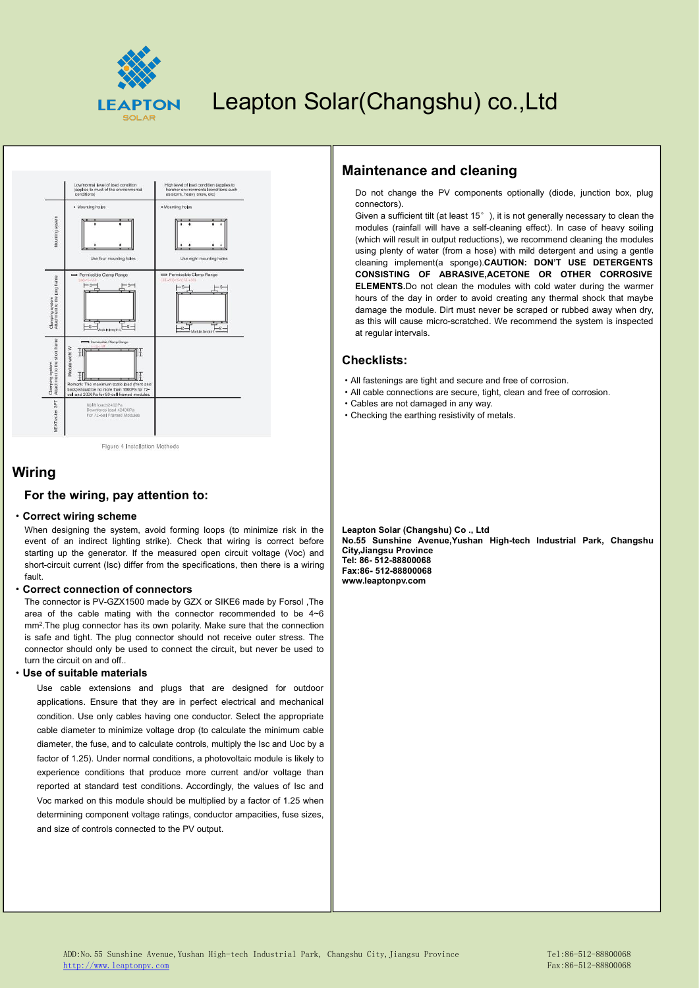



Figure 4 Installation Methods

#### **For the wiring, pay attention to:**

#### ·**Correct wiring scheme**

**Wiring**<br> **For the wiring, pay attention to:**<br>
When designing the system, avoid forming loops (to minimize risk in the<br>
event of an indirect lighting strike). Check that wiring is correct before<br>
starting up the generator. When designing the system, avoid forming loops (to minimize risk in the event of an indirect lighting strike). Check that wiring is correct before starting up the generator. If the measured open circuit voltage (Voc) and short-circuit current (Isc) differ from the specifications, then there is a wiring fault.

#### ·**Correct connection of connectors**

The connector is PV-GZX1500 made by GZX or SIKE6 made by Forsol ,The area of the cable mating with the connector recommended to be 4~6 mm<sup>2</sup>.The plug connector has its own polarity. Make sure that the connection  $\parallel$ is safe and tight. The plug connector should not receive outer stress. The connector should only be used to connect the circuit, but never be used to turn the circuit on and off

#### ·**Use of suitable materials**

Use cable extensions and plugs that are designed for outdoor applications. Ensure that they are in perfect electrical and mechanical condition. Use only cables having one conductor. Select the appropriate cable diameter to minimize voltage drop (to calculate the minimum cable diameter, the fuse, and to calculate controls, multiply the Isc and Uoc by a factor of 1.25). Under normal conditions, a photovoltaic module is likely to experience conditions that produce more current and/or voltage than reported at standard test conditions. Accordingly, the values of Isc and Voc marked on this module should be multiplied by a factor of 1.25 when determining component voltage ratings, conductor ampacities, fuse sizes, and size of controls connected to the PV output.

### **Maintenance and cleaning**

Do not change the PV components optionally (diode, junction box, plug connectors).

Given a sufficient tilt (at least 15°), it is not generally necessary to clean the modules (rainfall will have a self-cleaning effect). In case of heavy soiling (which will result in output reductions), we recommend cleaning the modules using plenty of water (from a hose) with mild detergent and using a gentle cleaning implement(a sponge).**CAUTION: DON'T USE DETERGENTS CONSISTING OF ABRASIVE,ACETONE OR OTHER CORROSIVE ELEMENTS.**Do not clean the modules with cold water during the warmer hours of the day in order to avoid creating any thermal shock that maybe damage the module. Dirt must never be scraped or rubbed away when dry, as this will cause micro-scratched. We recommend the system is inspected at regular intervals.

#### **Checklists:**

- ·All fastenings are tight and secure and free of corrosion.
- ·All cable connections are secure, tight, clean and free of corrosion.
- ·Cables are not damaged in any way.
- ·Checking the earthing resistivity of metals.

**Leapton Solar (Changshu) Co ., Ltd No.55 Sunshine Avenue,Yushan High-tech Industrial Park, Changshu City,Jiangsu Province Tel: 86- 512-88800068 Fax:86- 512-88800068**

ADD:No.55 Sunshine Avenue,Yushan High-tech Industrial Park, Changshu City,Jiangsu Province Tel:86-512-88800068 [http://www.leaptonpv.com](http://www.leaptonenergy.com) Fax:86-512-88800068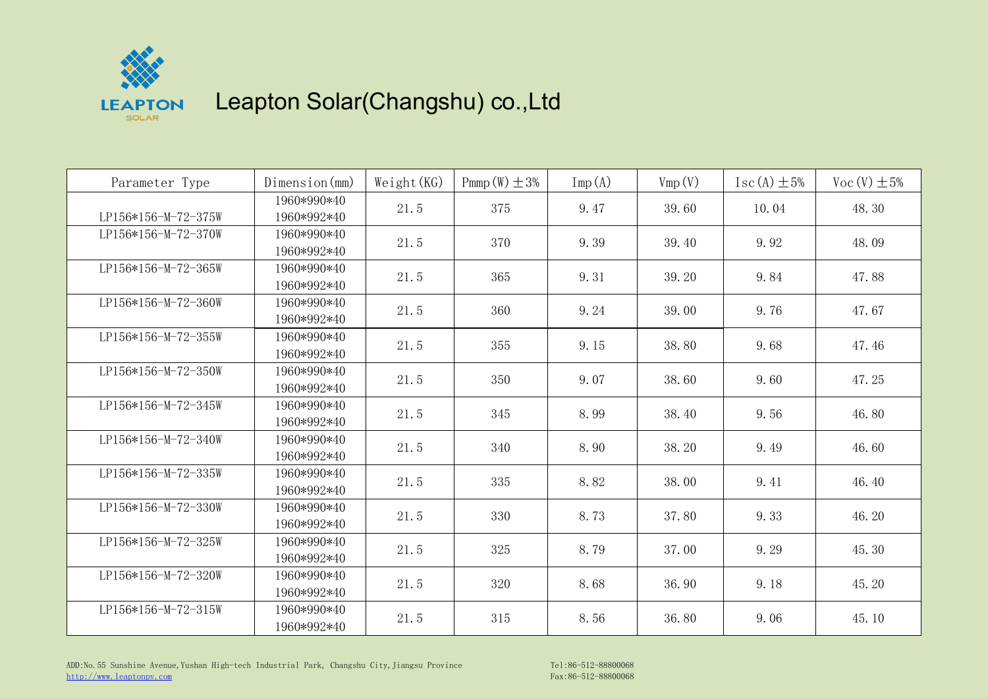

| Parameter Type      | Dimension (mm)             | Weight(KG) | Pmmp $(W) \pm 3\%$ | $\text{Imp}(A)$ | Vmp(V) | $\text{Isc}(\text{A}) \pm 5\%$ | $Voc(V) \pm 5%$ |
|---------------------|----------------------------|------------|--------------------|-----------------|--------|--------------------------------|-----------------|
| LP156*156-M-72-375W | 1960*990*40<br>1960*992*40 | 21.5       | 375                | 9.47            | 39.60  | 10.04                          | 48.30           |
| LP156*156-M-72-370W | 1960*990*40<br>1960*992*40 | 21.5       | 370                | 9.39            | 39.40  | 9.92                           | 48.09           |
| LP156*156-M-72-365W | 1960*990*40<br>1960*992*40 | 21.5       | 365                | 9.31            | 39.20  | 9.84                           | 47.88           |
| LP156*156-M-72-360W | 1960*990*40<br>1960*992*40 | 21.5       | 360                | 9.24            | 39.00  | 9.76                           | 47.67           |
| LP156*156-M-72-355W | 1960*990*40<br>1960*992*40 | 21.5       | 355                | 9.15            | 38.80  | 9.68                           | 47.46           |
| LP156*156-M-72-350W | 1960*990*40<br>1960*992*40 | 21.5       | 350                | 9.07            | 38.60  | 9.60                           | 47.25           |
| LP156*156-M-72-345W | 1960*990*40<br>1960*992*40 | 21.5       | 345                | 8.99            | 38.40  | 9.56                           | 46.80           |
| LP156*156-M-72-340W | 1960*990*40<br>1960*992*40 | 21.5       | 340                | 8.90            | 38.20  | 9.49                           | 46.60           |
| LP156*156-M-72-335W | 1960*990*40<br>1960*992*40 | 21.5       | 335                | 8.82            | 38.00  | 9.41                           | 46.40           |
| LP156*156-M-72-330W | 1960*990*40<br>1960*992*40 | 21.5       | 330                | 8.73            | 37.80  | 9.33                           | 46.20           |
| LP156*156-M-72-325W | 1960*990*40<br>1960*992*40 | 21.5       | 325                | 8.79            | 37.00  | 9.29                           | 45.30           |
| LP156*156-M-72-320W | 1960*990*40<br>1960*992*40 | 21.5       | 320                | 8.68            | 36.90  | 9.18                           | 45.20           |
| LP156*156-M-72-315W | 1960*990*40<br>1960*992*40 | 21.5       | 315                | 8.56            | 36.80  | 9.06                           | 45.10           |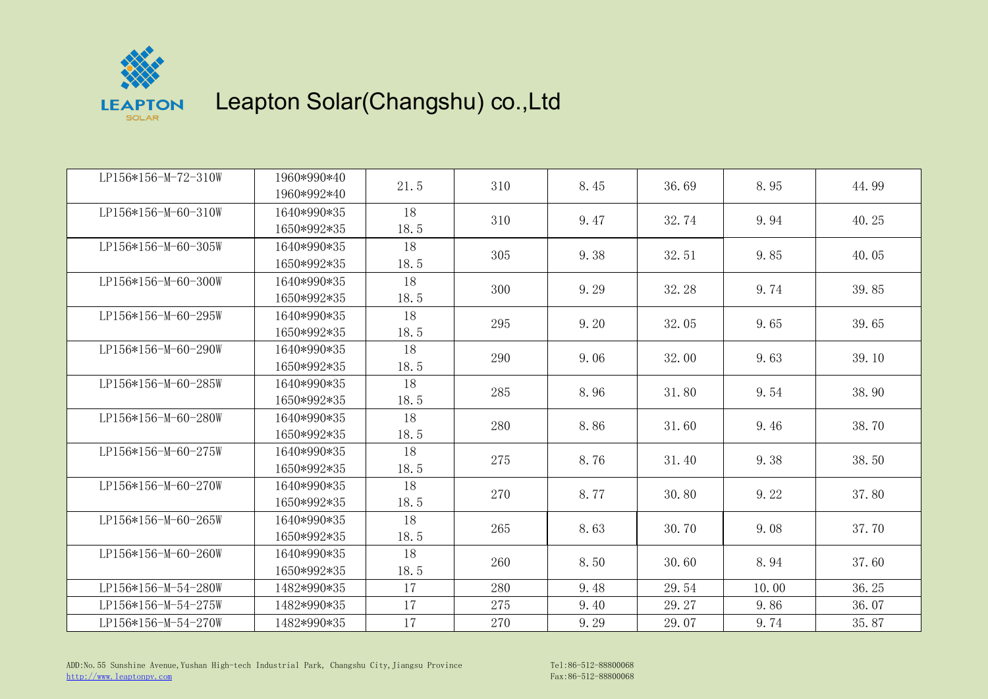

| LP156*156-M-72-310W | 1960*990*40<br>1960*992*40 | 21.5       | 310 | 8.45 | 36.69 | 8.95  | 44.99 |
|---------------------|----------------------------|------------|-----|------|-------|-------|-------|
| LP156*156-M-60-310W | 1640*990*35                | 18         | 310 | 9.47 | 32.74 | 9.94  | 40.25 |
| LP156*156-M-60-305W | 1650*992*35<br>1640*990*35 | 18.5<br>18 |     |      |       |       |       |
|                     | 1650*992*35                | 18.5       | 305 | 9.38 | 32.51 | 9.85  | 40.05 |
| LP156*156-M-60-300W | 1640*990*35                | 18         | 300 | 9.29 | 32.28 | 9.74  | 39.85 |
| LP156*156-M-60-295W | 1650*992*35<br>1640*990*35 | 18.5<br>18 |     |      |       |       |       |
|                     | 1650*992*35                | 18.5       | 295 | 9.20 | 32.05 | 9.65  | 39.65 |
| LP156*156-M-60-290W | 1640*990*35<br>1650*992*35 | 18<br>18.5 | 290 | 9.06 | 32.00 | 9.63  | 39.10 |
| LP156*156-M-60-285W | 1640*990*35                | 18         | 285 |      |       |       |       |
|                     | 1650*992*35                | 18.5       |     | 8.96 | 31.80 | 9.54  | 38.90 |
| LP156*156-M-60-280W | 1640*990*35<br>1650*992*35 | 18<br>18.5 | 280 | 8.86 | 31.60 | 9.46  | 38.70 |
| LP156*156-M-60-275W | 1640*990*35                | 18         |     |      |       |       |       |
|                     | 1650*992*35                | 18.5       | 275 | 8.76 | 31.40 | 9.38  | 38.50 |
| LP156*156-M-60-270W | 1640*990*35<br>1650*992*35 | 18<br>18.5 | 270 | 8.77 | 30.80 | 9.22  | 37.80 |
| LP156*156-M-60-265W | 1640*990*35                | 18         | 265 | 8.63 | 30.70 | 9.08  | 37.70 |
|                     | 1650*992*35                | 18.5       |     |      |       |       |       |
| LP156*156-M-60-260W | 1640*990*35                | 18         | 260 | 8.50 | 30.60 | 8.94  | 37.60 |
| LP156*156-M-54-280W | 1650*992*35<br>1482*990*35 | 18.5<br>17 | 280 | 9.48 | 29.54 | 10.00 | 36.25 |
| LP156*156-M-54-275W | 1482*990*35                | 17         | 275 | 9.40 | 29.27 | 9.86  | 36.07 |
| LP156*156-M-54-270W | 1482*990*35                | 17         | 270 | 9.29 | 29.07 | 9.74  | 35.87 |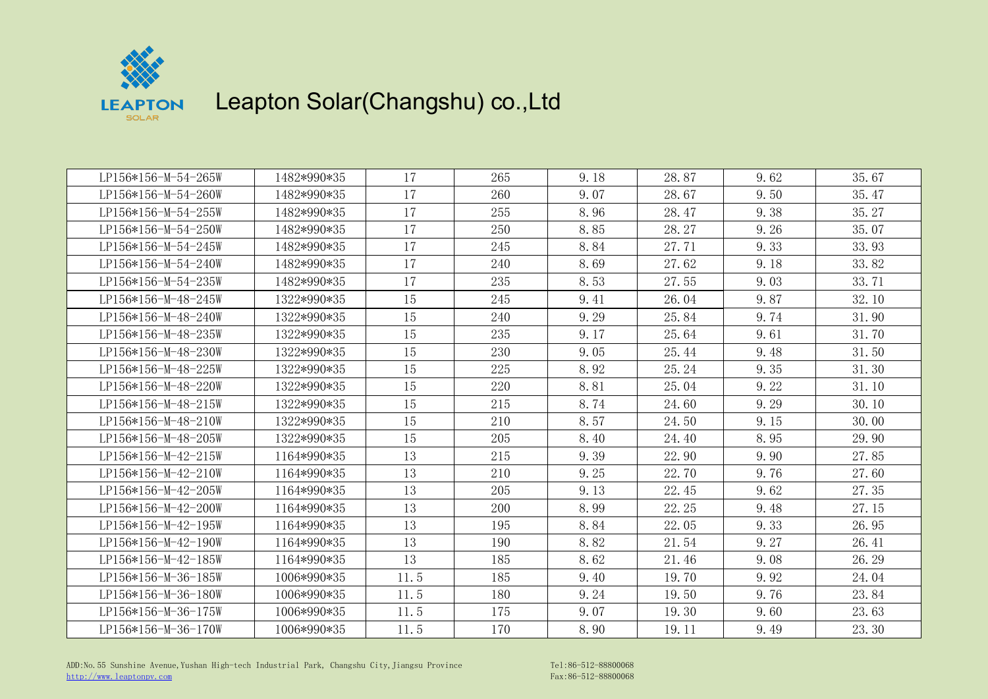

| LP156*156-M-54-265W | 1482*990*35 | 17   | 265 | 9.18 | 28.87 | 9.62 | 35.67 |
|---------------------|-------------|------|-----|------|-------|------|-------|
| LP156*156-M-54-260W | 1482*990*35 | 17   | 260 | 9.07 | 28.67 | 9.50 | 35.47 |
| LP156*156-M-54-255W | 1482*990*35 | 17   | 255 | 8.96 | 28.47 | 9.38 | 35.27 |
| LP156*156-M-54-250W | 1482*990*35 | 17   | 250 | 8.85 | 28.27 | 9.26 | 35.07 |
| LP156*156-M-54-245W | 1482*990*35 | 17   | 245 | 8.84 | 27.71 | 9.33 | 33.93 |
| LP156*156-M-54-240W | 1482*990*35 | 17   | 240 | 8.69 | 27.62 | 9.18 | 33.82 |
| LP156*156-M-54-235W | 1482*990*35 | 17   | 235 | 8.53 | 27.55 | 9.03 | 33.71 |
| LP156*156-M-48-245W | 1322*990*35 | 15   | 245 | 9.41 | 26.04 | 9.87 | 32.10 |
| LP156*156-M-48-240W | 1322*990*35 | 15   | 240 | 9.29 | 25.84 | 9.74 | 31.90 |
| LP156*156-M-48-235W | 1322*990*35 | 15   | 235 | 9.17 | 25.64 | 9.61 | 31.70 |
| LP156*156-M-48-230W | 1322*990*35 | 15   | 230 | 9.05 | 25.44 | 9.48 | 31.50 |
| LP156*156-M-48-225W | 1322*990*35 | 15   | 225 | 8.92 | 25.24 | 9.35 | 31.30 |
| LP156*156-M-48-220W | 1322*990*35 | 15   | 220 | 8.81 | 25.04 | 9.22 | 31.10 |
| LP156*156-M-48-215W | 1322*990*35 | 15   | 215 | 8.74 | 24.60 | 9.29 | 30.10 |
| LP156*156-M-48-210W | 1322*990*35 | 15   | 210 | 8.57 | 24.50 | 9.15 | 30.00 |
| LP156*156-M-48-205W | 1322*990*35 | 15   | 205 | 8.40 | 24.40 | 8.95 | 29.90 |
| LP156*156-M-42-215W | 1164*990*35 | 13   | 215 | 9.39 | 22.90 | 9.90 | 27.85 |
| LP156*156-M-42-210W | 1164*990*35 | 13   | 210 | 9.25 | 22.70 | 9.76 | 27.60 |
| LP156*156-M-42-205W | 1164*990*35 | 13   | 205 | 9.13 | 22.45 | 9.62 | 27.35 |
| LP156*156-M-42-200W | 1164*990*35 | 13   | 200 | 8.99 | 22.25 | 9.48 | 27.15 |
| LP156*156-M-42-195W | 1164*990*35 | 13   | 195 | 8.84 | 22.05 | 9.33 | 26.95 |
| LP156*156-M-42-190W | 1164*990*35 | 13   | 190 | 8.82 | 21.54 | 9.27 | 26.41 |
| LP156*156-M-42-185W | 1164*990*35 | 13   | 185 | 8.62 | 21.46 | 9.08 | 26.29 |
| LP156*156-M-36-185W | 1006*990*35 | 11.5 | 185 | 9.40 | 19.70 | 9.92 | 24.04 |
| LP156*156-M-36-180W | 1006*990*35 | 11.5 | 180 | 9.24 | 19.50 | 9.76 | 23.84 |
| LP156*156-M-36-175W | 1006*990*35 | 11.5 | 175 | 9.07 | 19.30 | 9.60 | 23.63 |
| LP156*156-M-36-170W | 1006*990*35 | 11.5 | 170 | 8.90 | 19.11 | 9.49 | 23.30 |
|                     |             |      |     |      |       |      |       |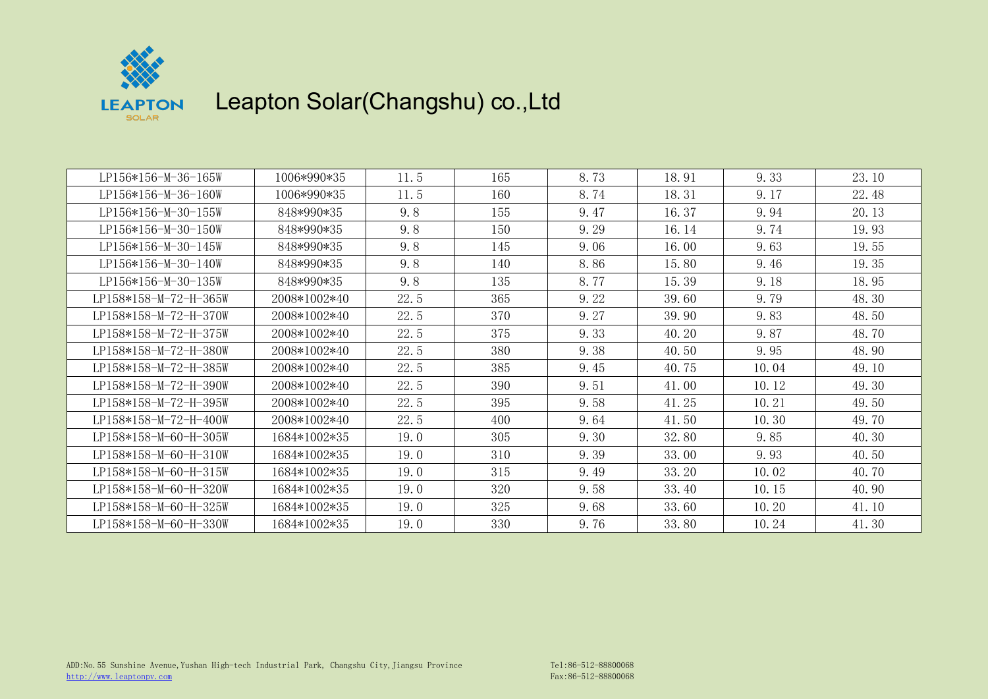

| LP156*156-M-36-165W   | 1006*990*35  | 11.5 | 165 | 8.73 | 18.91 | 9.33  | 23.10 |
|-----------------------|--------------|------|-----|------|-------|-------|-------|
| LP156*156-M-36-160W   | 1006*990*35  | 11.5 | 160 | 8.74 | 18.31 | 9.17  | 22.48 |
| LP156*156-M-30-155W   | 848*990*35   | 9.8  | 155 | 9.47 | 16.37 | 9.94  | 20.13 |
| LP156*156-M-30-150W   | 848*990*35   | 9.8  | 150 | 9.29 | 16.14 | 9.74  | 19.93 |
| LP156*156-M-30-145W   | 848*990*35   | 9.8  | 145 | 9.06 | 16.00 | 9.63  | 19.55 |
| LP156*156-M-30-140W   | 848*990*35   | 9.8  | 140 | 8.86 | 15.80 | 9.46  | 19.35 |
| LP156*156-M-30-135W   | 848*990*35   | 9.8  | 135 | 8.77 | 15.39 | 9.18  | 18.95 |
| LP158*158-M-72-H-365W | 2008*1002*40 | 22.5 | 365 | 9.22 | 39.60 | 9.79  | 48.30 |
| LP158*158-M-72-H-370W | 2008*1002*40 | 22.5 | 370 | 9.27 | 39.90 | 9.83  | 48.50 |
| LP158*158-M-72-H-375W | 2008*1002*40 | 22.5 | 375 | 9.33 | 40.20 | 9.87  | 48.70 |
| LP158*158-M-72-H-380W | 2008*1002*40 | 22.5 | 380 | 9.38 | 40.50 | 9.95  | 48.90 |
| LP158*158-M-72-H-385W | 2008*1002*40 | 22.5 | 385 | 9.45 | 40.75 | 10.04 | 49.10 |
| LP158*158-M-72-H-390W | 2008*1002*40 | 22.5 | 390 | 9.51 | 41.00 | 10.12 | 49.30 |
| LP158*158-M-72-H-395W | 2008*1002*40 | 22.5 | 395 | 9.58 | 41.25 | 10.21 | 49.50 |
| LP158*158-M-72-H-400W | 2008*1002*40 | 22.5 | 400 | 9.64 | 41.50 | 10.30 | 49.70 |
| LP158*158-M-60-H-305W | 1684*1002*35 | 19.0 | 305 | 9.30 | 32.80 | 9.85  | 40.30 |
| LP158*158-M-60-H-310W | 1684*1002*35 | 19.0 | 310 | 9.39 | 33.00 | 9.93  | 40.50 |
| LP158*158-M-60-H-315W | 1684*1002*35 | 19.0 | 315 | 9.49 | 33.20 | 10.02 | 40.70 |
| LP158*158-M-60-H-320W | 1684*1002*35 | 19.0 | 320 | 9.58 | 33.40 | 10.15 | 40.90 |
| LP158*158-M-60-H-325W | 1684*1002*35 | 19.0 | 325 | 9.68 | 33.60 | 10.20 | 41.10 |
| LP158*158-M-60-H-330W | 1684*1002*35 | 19.0 | 330 | 9.76 | 33.80 | 10.24 | 41.30 |
|                       |              |      |     |      |       |       |       |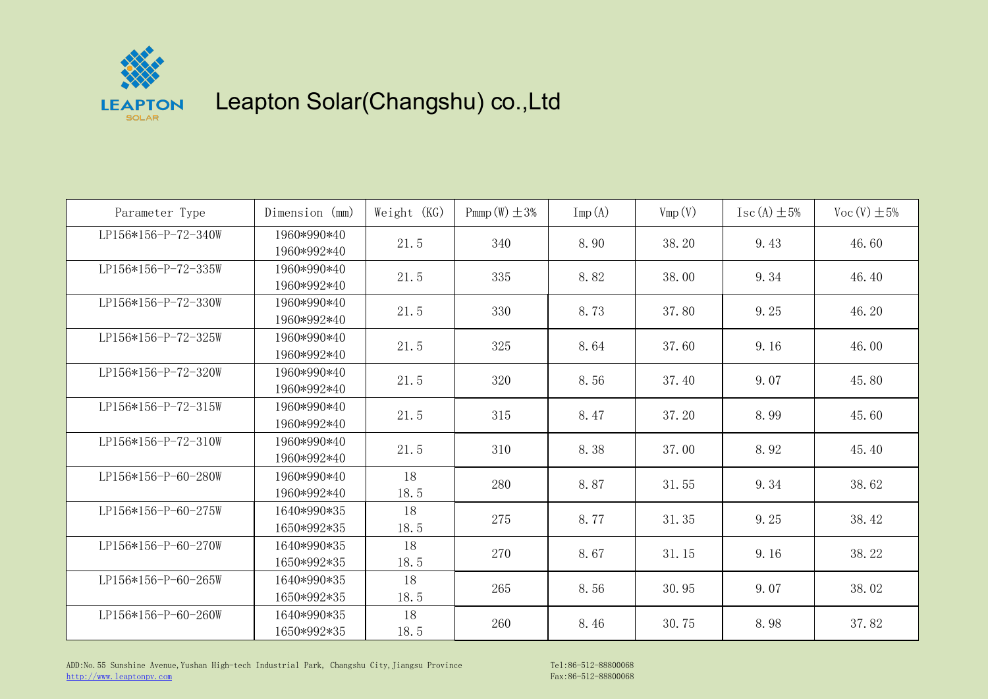

| Parameter Type      | Dimension (mm)             | Weight $(KG)$ | Pmmp $(W) \pm 3\%$ | $\text{Imp}(\mathbf{A})$ | Vmp(V) | $\text{Isc}(\text{A}) \pm 5\%$ | Voc $(V) \pm 5\%$ |
|---------------------|----------------------------|---------------|--------------------|--------------------------|--------|--------------------------------|-------------------|
| LP156*156-P-72-340W | 1960*990*40<br>1960*992*40 | 21.5          | 340                | 8.90                     | 38.20  | 9.43                           | 46.60             |
| LP156*156-P-72-335W | 1960*990*40<br>1960*992*40 | 21.5          | 335                | 8.82                     | 38.00  | 9.34                           | 46.40             |
| LP156*156-P-72-330W | 1960*990*40<br>1960*992*40 | 21.5          | 330                | 8.73                     | 37.80  | 9.25                           | 46.20             |
| LP156*156-P-72-325W | 1960*990*40<br>1960*992*40 | 21.5          | 325                | 8.64                     | 37.60  | 9.16                           | 46.00             |
| LP156*156-P-72-320W | 1960*990*40<br>1960*992*40 | 21.5          | 320                | 8.56                     | 37.40  | 9.07                           | 45.80             |
| LP156*156-P-72-315W | 1960*990*40<br>1960*992*40 | 21.5          | 315                | 8.47                     | 37.20  | 8.99                           | 45.60             |
| LP156*156-P-72-310W | 1960*990*40<br>1960*992*40 | 21.5          | 310                | 8.38                     | 37.00  | 8.92                           | 45.40             |
| LP156*156-P-60-280W | 1960*990*40<br>1960*992*40 | 18<br>18.5    | 280                | 8.87                     | 31.55  | 9.34                           | 38.62             |
| LP156*156-P-60-275W | 1640*990*35<br>1650*992*35 | 18<br>18.5    | 275                | 8.77                     | 31.35  | 9.25                           | 38.42             |
| LP156*156-P-60-270W | 1640*990*35<br>1650*992*35 | 18<br>18.5    | 270                | 8.67                     | 31.15  | 9.16                           | 38.22             |
| LP156*156-P-60-265W | 1640*990*35<br>1650*992*35 | 18<br>18.5    | 265                | 8.56                     | 30.95  | 9.07                           | 38.02             |
| LP156*156-P-60-260W | 1640*990*35<br>1650*992*35 | 18<br>18.5    | 260                | 8.46                     | 30.75  | 8.98                           | 37.82             |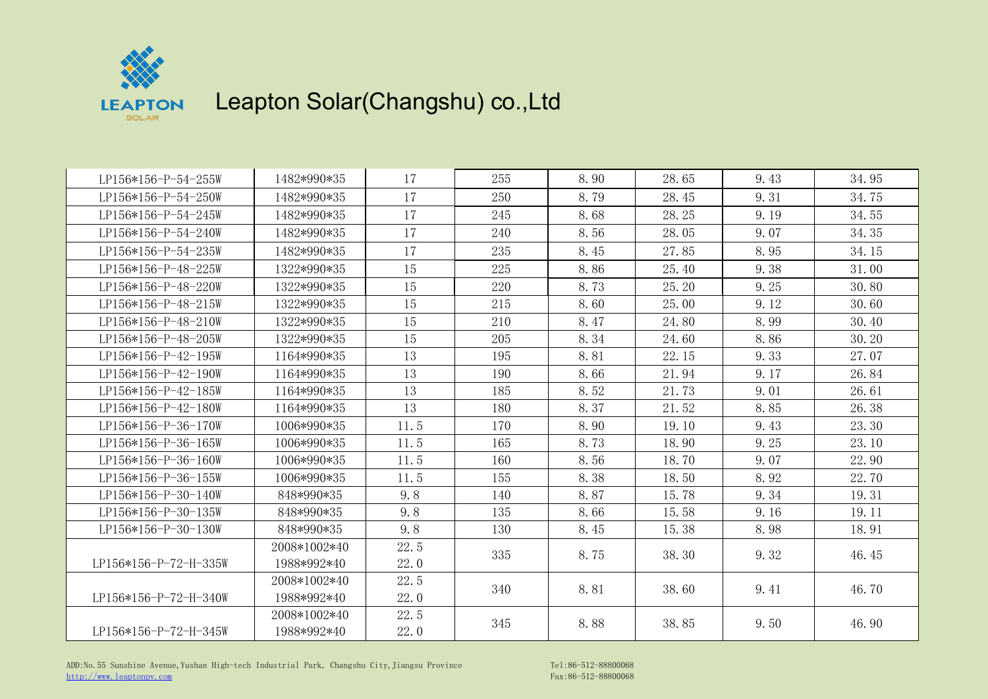

| LP156*156-P-54-255W   | 1482*990*35  | 17   | 255 | 8.90 | 28.65 | 9.43 | 34.95 |
|-----------------------|--------------|------|-----|------|-------|------|-------|
| LP156*156-P-54-250W   | 1482*990*35  | 17   | 250 | 8.79 | 28.45 | 9.31 | 34.75 |
| LP156*156-P-54-245W   | 1482*990*35  | 17   | 245 | 8.68 | 28.25 | 9.19 | 34.55 |
| LP156*156-P-54-240W   | 1482*990*35  | 17   | 240 | 8.56 | 28.05 | 9.07 | 34.35 |
| LP156*156-P-54-235W   | 1482*990*35  | 17   | 235 | 8.45 | 27.85 | 8.95 | 34.15 |
| LP156*156-P-48-225W   | 1322*990*35  | 15   | 225 | 8.86 | 25.40 | 9.38 | 31.00 |
| LP156*156-P-48-220W   | 1322*990*35  | 15   | 220 | 8.73 | 25.20 | 9.25 | 30.80 |
| LP156*156-P-48-215W   | 1322*990*35  | 15   | 215 | 8.60 | 25.00 | 9.12 | 30.60 |
| LP156*156-P-48-210W   | 1322*990*35  | 15   | 210 | 8.47 | 24.80 | 8.99 | 30.40 |
| LP156*156-P-48-205W   | 1322*990*35  | 15   | 205 | 8.34 | 24.60 | 8.86 | 30.20 |
| LP156*156-P-42-195W   | 1164*990*35  | 13   | 195 | 8.81 | 22.15 | 9.33 | 27.07 |
| LP156*156-P-42-190W   | 1164*990*35  | 13   | 190 | 8.66 | 21.94 | 9.17 | 26.84 |
| LP156*156-P-42-185W   | 1164*990*35  | 13   | 185 | 8.52 | 21.73 | 9.01 | 26.61 |
| LP156*156-P-42-180W   | 1164*990*35  | 13   | 180 | 8.37 | 21.52 | 8.85 | 26.38 |
| LP156*156-P-36-170W   | 1006*990*35  | 11.5 | 170 | 8.90 | 19.10 | 9.43 | 23.30 |
| LP156*156-P-36-165W   | 1006*990*35  | 11.5 | 165 | 8.73 | 18.90 | 9.25 | 23.10 |
| LP156*156-P-36-160W   | 1006*990*35  | 11.5 | 160 | 8.56 | 18.70 | 9.07 | 22.90 |
| LP156*156-P-36-155W   | 1006*990*35  | 11.5 | 155 | 8.38 | 18.50 | 8.92 | 22.70 |
| LP156*156-P-30-140W   | 848*990*35   | 9.8  | 140 | 8.87 | 15.78 | 9.34 | 19.31 |
| LP156*156-P-30-135W   | 848*990*35   | 9.8  | 135 | 8.66 | 15.58 | 9.16 | 19.11 |
| LP156*156-P-30-130W   | 848*990*35   | 9.8  | 130 | 8.45 | 15.38 | 8.98 | 18.91 |
|                       | 2008*1002*40 | 22.5 | 335 | 8.75 | 38.30 | 9.32 | 46.45 |
| LP156*156-P-72-H-335W | 1988*992*40  | 22.0 |     |      |       |      |       |
|                       | 2008*1002*40 | 22.5 | 340 | 8.81 | 38.60 | 9.41 | 46.70 |
| LP156*156-P-72-H-340W | 1988*992*40  | 22.0 |     |      |       |      |       |
|                       | 2008*1002*40 | 22.5 | 345 | 8.88 | 38.85 | 9.50 | 46.90 |
| LP156*156-P-72-H-345W | 1988*992*40  | 22.0 |     |      |       |      |       |

ADD:No.55 Sunshine Avenue,Yushan High-tech Industrial Park, Changshu City,Jiangsu Province Tel:86-512-88800068 [http://www.leaptonpv.com](http://www.leaptonenergy.com) Fax:86-512-88800068